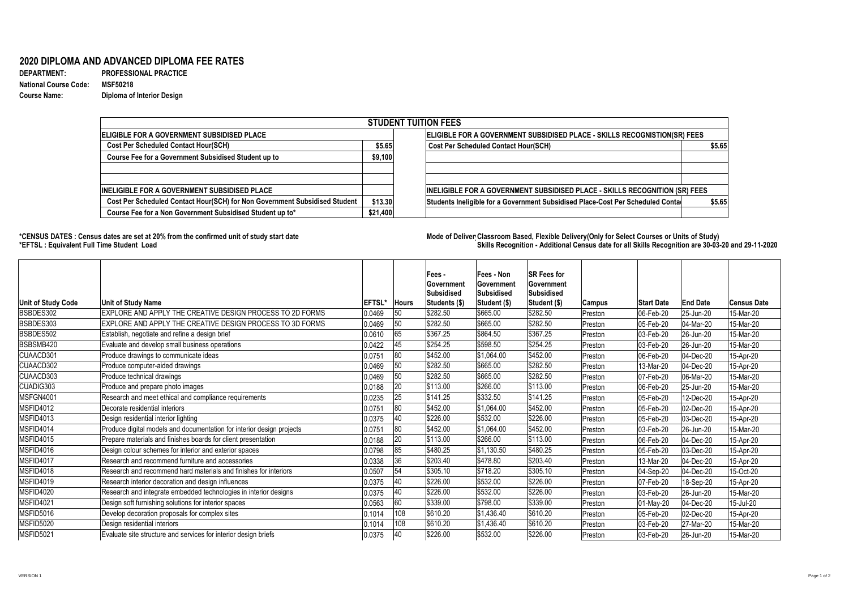**DEPARTMENT: PROFESSIONAL PRACTICE Course Name: Diploma of Interior Design**

## **2020 DIPLOMA AND ADVANCED DIPLOMA FEE RATES**

**National Course Code: MSF50218**

## **\*CENSUS DATES : Census dates are set at 20% from the confirmed unit of study start date Mode of Delivery:Classroom Based, Flexible Delivery(Only for Select Courses or Units of Study) \*EFTSL : Equivalent Full Time Student Load Skills Recognition - Additional Census date for all Skills Recognition are 30-03-20 and 29-11-2020**

| <b>STUDENT TUITION FEES</b>                                                |          |                                                                                |        |  |  |  |  |  |  |
|----------------------------------------------------------------------------|----------|--------------------------------------------------------------------------------|--------|--|--|--|--|--|--|
| ELIGIBLE FOR A GOVERNMENT SUBSIDISED PLACE                                 |          | ELIGIBLE FOR A GOVERNMENT SUBSIDISED PLACE - SKILLS RECOGNISTION(SR) FEES      |        |  |  |  |  |  |  |
| <b>Cost Per Scheduled Contact Hour(SCH)</b>                                | \$5.65   | <b>Cost Per Scheduled Contact Hour(SCH)</b>                                    | \$5.65 |  |  |  |  |  |  |
| <b>Course Fee for a Government Subsidised Student up to</b>                | \$9,100  |                                                                                |        |  |  |  |  |  |  |
|                                                                            |          |                                                                                |        |  |  |  |  |  |  |
|                                                                            |          |                                                                                |        |  |  |  |  |  |  |
| <b>INELIGIBLE FOR A GOVERNMENT SUBSIDISED PLACE</b>                        |          | INELIGIBLE FOR A GOVERNMENT SUBSIDISED PLACE - SKILLS RECOGNITION (SR) FEES    |        |  |  |  |  |  |  |
| Cost Per Scheduled Contact Hour(SCH) for Non Government Subsidised Student | \$13.30  | Students Ineligible for a Government Subsidised Place-Cost Per Scheduled Conta | \$5.65 |  |  |  |  |  |  |
| Course Fee for a Non Government Subsidised Student up to*                  | \$21,400 |                                                                                |        |  |  |  |  |  |  |

| Unit of Study Code | Unit of Study Name                                                    | <b>EFTSL*</b> | <b>Hours</b> | <b>Fees</b> -<br><b>Government</b><br><b>Subsidised</b><br><b>Students (\$)</b> | <b>Fees - Non</b><br><b>Government</b><br>Subsidised<br>Student (\$) | <b>SR Fees for</b><br> Government<br><b>Subsidised</b><br> Student (\$) | Campus  | <b>Start Date</b> | <b>End Date</b>   | <b>Census Date</b> |
|--------------------|-----------------------------------------------------------------------|---------------|--------------|---------------------------------------------------------------------------------|----------------------------------------------------------------------|-------------------------------------------------------------------------|---------|-------------------|-------------------|--------------------|
| BSBDES302          | EXPLORE AND APPLY THE CREATIVE DESIGN PROCESS TO 2D FORMS             | 0.0469        | 50           | \$282.50                                                                        | 1\$665.00                                                            | \$282.50                                                                | Preston | 06-Feb-20         | 25-Jun-20         | 15-Mar-20          |
| BSBDES303          | EXPLORE AND APPLY THE CREATIVE DESIGN PROCESS TO 3D FORMS             | 0.0469        | 50           | \$282.50                                                                        | \$665.00                                                             | \$282.50                                                                | Preston | 05-Feb-20         | 04-Mar-20         | 15-Mar-20          |
| BSBDES502          | Establish, negotiate and refine a design brief                        | 0.0610        | 65           | \$367.25                                                                        | \$864.50                                                             | \$367.25                                                                | Preston | $ 03 - Feb - 20$  | 26-Jun-20         | 15-Mar-20          |
| BSBSMB420          | Evaluate and develop small business operations                        | 0.0422        | 45           | \$254.25                                                                        | \$598.50                                                             | $\frac{1}{2}254.25$                                                     | Preston | 03-Feb-20         | $ 26 - Jun - 20 $ | 15-Mar-20          |
| CUAACD301          | Produce drawings to communicate ideas                                 | 0.0751        | 80           | \$452.00                                                                        | \$1,064.00                                                           | \$452.00                                                                | Preston | 06-Feb-20         | 04-Dec-20         | 15-Apr-20          |
| CUAACD302          | Produce computer-aided drawings                                       | 0.0469        | 50           | \$282.50                                                                        | \$665.00                                                             | \$282.50                                                                | Preston | 13-Mar-20         | 04-Dec-20         | 15-Apr-20          |
| CUAACD303          | Produce technical drawings                                            | 0.0469        | 50           | \$282.50                                                                        | \$665.00                                                             | \$282.50                                                                | Preston | 07-Feb-20         | 06-Mar-20         | 15-Mar-20          |
| CUADIG303          | Produce and prepare photo images                                      | 0.0188        | 20           | \$113.00                                                                        | \$266.00                                                             | \$113.00                                                                | Preston | 06-Feb-20         | 25-Jun-20         | 15-Mar-20          |
| MSFGN4001          | Research and meet ethical and compliance requirements                 | 0.0235        | 25           | \$141.25                                                                        | \$332.50                                                             | \$141.25                                                                | Preston | 05-Feb-20         | 12-Dec-20         | 15-Apr-20          |
| MSFID4012          | Decorate residential interiors                                        | 0.0751        | 80           | \$452.00                                                                        | \$1,064.00                                                           | \$452.00                                                                | Preston | 05-Feb-20         | 02-Dec-20         | 15-Apr-20          |
| MSFID4013          | Design residential interior lighting                                  | 0.0375        | 40           | \$226.00                                                                        | \$532.00                                                             | \$226.00                                                                | Preston | 05-Feb-20         | $ 03 - Dec-20 $   | 15-Apr-20          |
| MSFID4014          | Produce digital models and documentation for interior design projects | 0.0751        | 80           | \$452.00                                                                        | $ \$1,064.00$                                                        | \$452.00                                                                | Preston | 03-Feb-20         | 26-Jun-20         | 15-Mar-20          |
| MSFID4015          | Prepare materials and finishes boards for client presentation         | 0.0188        | 20           | \$113.00                                                                        | \$266.00                                                             | \$113.00                                                                | Preston | 06-Feb-20         | 04-Dec-20         | 15-Apr-20          |
| MSFID4016          | Design colour schemes for interior and exterior spaces                | 0.0798        | 85           | \$480.25                                                                        | \$1,130.50                                                           | \$480.25                                                                | Preston | 05-Feb-20         | $ 03 - Dec - 20$  | 15-Apr-20          |
| MSFID4017          | Research and recommend furniture and accessories                      | 0.0338        | 36           | \$203.40                                                                        | \$478.80                                                             | \$203.40                                                                | Preston | 13-Mar-20         | $ 04 - Dec - 20 $ | 15-Apr-20          |
| MSFID4018          | Research and recommend hard materials and finishes for interiors      | 0.0507        | 54           | \$305.10                                                                        | \$718.20                                                             | \$305.10                                                                | Preston | 04-Sep-20         | 04-Dec-20         | 15-Oct-20          |
| MSFID4019          | Research interior decoration and design influences                    | 0.0375        | <b>40</b>    | \$226.00                                                                        | \$532.00                                                             | \$226.00                                                                | Preston | 07-Feb-20         | 18-Sep-20         | 15-Apr-20          |
| MSFID4020          | Research and integrate embedded technologies in interior designs      | 0.0375        | 40           | \$226.00                                                                        | \$532.00                                                             | \$226.00                                                                | Preston | 03-Feb-20         | $ 26 - Jun-20 $   | 15-Mar-20          |
| MSFID4021          | Design soft furnishing solutions for interior spaces                  | 0.0563        | 60           | \$339.00                                                                        | \$798.00                                                             | \$339.00                                                                | Preston | 01-May-20         | $ 04 - Dec - 20$  | 15-Jul-20          |
| MSFID5016          | Develop decoration proposals for complex sites                        | 0.1014        | 108          | \$610.20                                                                        | \$1,436.40                                                           | \$610.20                                                                | Preston | 05-Feb-20         | 02-Dec-20         | 15-Apr-20          |
| MSFID5020          | Design residential interiors                                          | 0.1014        | 108          | \$610.20                                                                        | \$1,436.40                                                           | \$610.20                                                                | Preston | 03-Feb-20         | $ 27$ -Mar-20     | 15-Mar-20          |
| MSFID5021          | Evaluate site structure and services for interior design briefs       | 0.0375        | 40           | \$226.00                                                                        | \$532.00                                                             | \$226.00                                                                | Preston | 03-Feb-20         | 26-Jun-20         | 15-Mar-20          |

VERSION 1 Page 1 of 2